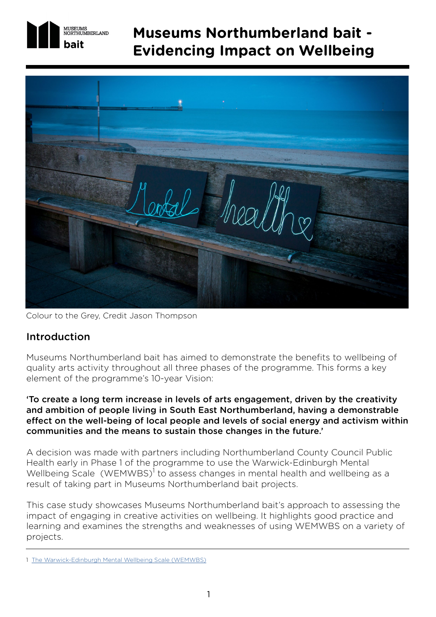

# **Museums Northumberland bait - Evidencing Impact on Wellbeing**



Colour to the Grey, Credit Jason Thompson

### Introduction

Museums Northumberland bait has aimed to demonstrate the benefits to wellbeing of quality arts activity throughout all three phases of the programme. This forms a key element of the programme's 10-year Vision:

'To create a long term increase in levels of arts engagement, driven by the creativity and ambition of people living in South East Northumberland, having a demonstrable effect on the well-being of local people and levels of social energy and activism within communities and the means to sustain those changes in the future.'

A decision was made with partners including Northumberland County Council Public Health early in Phase 1 of the programme to use the Warwick-Edinburgh Mental Wellbeing Scale (WEMWBS)<sup>1</sup> to assess changes in mental health and wellbeing as a result of taking part in Museums Northumberland bait projects.

This case study showcases Museums Northumberland bait's approach to assessing the impact of engaging in creative activities on wellbeing. It highlights good practice and learning and examines the strengths and weaknesses of using WEMWBS on a variety of projects.

<sup>1</sup> [The Warwick-Edinburgh Mental Wellbeing Scale \(WEMWBS\)](https://warwick.ac.uk/fac/sci/med/research/platform/wemwbs/)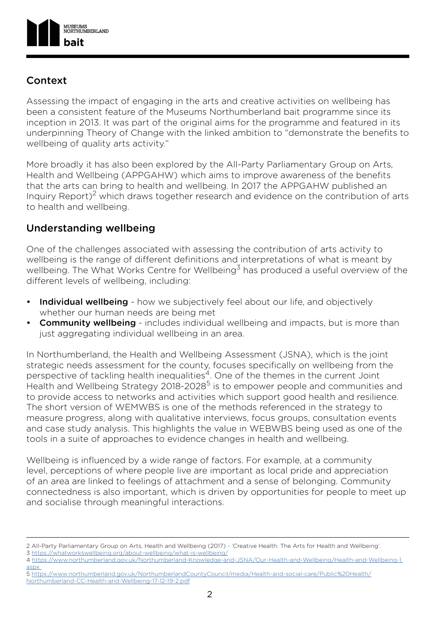

## Context

Assessing the impact of engaging in the arts and creative activities on wellbeing has been a consistent feature of the Museums Northumberland bait programme since its inception in 2013. It was part of the original aims for the programme and featured in its underpinning Theory of Change with the linked ambition to "demonstrate the benefits to wellbeing of quality arts activity."

More broadly it has also been explored by the All-Party Parliamentary Group on Arts, Health and Wellbeing (APPGAHW) which aims to improve awareness of the benefits that the arts can bring to health and wellbeing. In 2017 the APPGAHW published an Inquiry Report)<sup>2</sup> which draws together research and evidence on the contribution of arts to health and wellbeing.

# Understanding wellbeing

One of the challenges associated with assessing the contribution of arts activity to wellbeing is the range of different definitions and interpretations of what is meant by wellbeing. The What Works Centre for Wellbeing<sup>3</sup> has produced a useful overview of the different levels of wellbeing, including:

- **Individual wellbeing** how we subjectively feel about our life, and objectively whether our human needs are being met
- **Community wellbeing** includes individual wellbeing and impacts, but is more than just aggregating individual wellbeing in an area.

In Northumberland, the Health and Wellbeing Assessment (JSNA), which is the joint strategic needs assessment for the county, focuses specifically on wellbeing from the perspective of tackling health inequalities<sup>4</sup>. One of the themes in the current Joint Health and Wellbeing Strategy 2018-2028<sup>5</sup> is to empower people and communities and to provide access to networks and activities which support good health and resilience. The short version of WEMWBS is one of the methods referenced in the strategy to measure progress, along with qualitative interviews, focus groups, consultation events and case study analysis. This highlights the value in WEBWBS being used as one of the tools in a suite of approaches to evidence changes in health and wellbeing.

Wellbeing is influenced by a wide range of factors. For example, at a community level, perceptions of where people live are important as local pride and appreciation of an area are linked to feelings of attachment and a sense of belonging. Community connectedness is also important, which is driven by opportunities for people to meet up and socialise through meaningful interactions.

3<https://whatworkswellbeing.org/about-wellbeing/what-is-wellbeing/>

5 [https://www.northumberland.gov.uk/NorthumberlandCountyCouncil/media/Health-and-social-care/Public%20Health/](https://www.northumberland.gov.uk/NorthumberlandCountyCouncil/media/Health-and-social-care/Public%20Health/Northumberland-CC-Health-and-Wellbeing-17-12-19-2.pdf) [Northumberland-CC-Health-and-Wellbeing-17-12-19-2.pdf](https://www.northumberland.gov.uk/NorthumberlandCountyCouncil/media/Health-and-social-care/Public%20Health/Northumberland-CC-Health-and-Wellbeing-17-12-19-2.pdf)

<sup>2</sup> [All-Party Parliamentary Group on Arts, Health and Wellbeing \(2017\) - 'Creative Health: The Arts for Health and Wellbeing'.](All-Party Parliamentary Group on Arts, Health and Wellbeing (2017) - ‘Creative Health: The Arts for ) 

<sup>4</sup> [https://www.northumberland.gov.uk/Northumberland-Knowledge-and-JSNA/Our-Health-and-Wellbeing/Health-and-Wellbeing-1.](https://www.northumberland.gov.uk/Northumberland-Knowledge-and-JSNA/Our-Health-and-Wellbeing/Health-) [aspx](https://www.northumberland.gov.uk/Northumberland-Knowledge-and-JSNA/Our-Health-and-Wellbeing/Health-)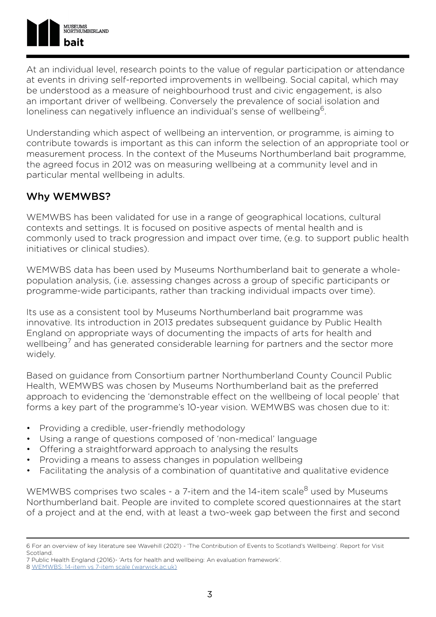At an individual level, research points to the value of regular participation or attendance at events in driving self-reported improvements in wellbeing. Social capital, which may be understood as a measure of neighbourhood trust and civic engagement, is also an important driver of wellbeing. Conversely the prevalence of social isolation and loneliness can negatively influence an individual's sense of wellbeing<sup>6</sup>.

Understanding which aspect of wellbeing an intervention, or programme, is aiming to contribute towards is important as this can inform the selection of an appropriate tool or measurement process. In the context of the Museums Northumberland bait programme, the agreed focus in 2012 was on measuring wellbeing at a community level and in particular mental wellbeing in adults.

# Why WEMWBS?

WEMWBS has been validated for use in a range of geographical locations, cultural contexts and settings. It is focused on positive aspects of mental health and is commonly used to track progression and impact over time, (e.g. to support public health initiatives or clinical studies).

WEMWBS data has been used by Museums Northumberland bait to generate a wholepopulation analysis, (i.e. assessing changes across a group of specific participants or programme-wide participants, rather than tracking individual impacts over time).

Its use as a consistent tool by Museums Northumberland bait programme was innovative. Its introduction in 2013 predates subsequent guidance by Public Health England on appropriate ways of documenting the impacts of arts for health and wellbeing<sup>7</sup> and has generated considerable learning for partners and the sector more widely.

Based on guidance from Consortium partner Northumberland County Council Public Health, WEMWBS was chosen by Museums Northumberland bait as the preferred approach to evidencing the 'demonstrable effect on the wellbeing of local people' that forms a key part of the programme's 10-year vision. WEMWBS was chosen due to it:

- Providing a credible, user-friendly methodology
- Using a range of questions composed of 'non-medical' language
- Offering a straightforward approach to analysing the results
- Providing a means to assess changes in population wellbeing
- Facilitating the analysis of a combination of quantitative and qualitative evidence

WEMWBS comprises two scales - a 7-item and the 14-item scale<sup>8</sup> used by Museums Northumberland bait. People are invited to complete scored questionnaires at the start of a project and at the end, with at least a two-week gap between the first and second

7 Public Health England (2016)- 'Arts for health and wellbeing: An evaluation framework'.

<sup>6</sup> For an overview of key literature see Wavehill (2021) - 'The Contribution of Events to Scotland's Wellbeing'. Report for Visit Scotland.

<sup>8</sup> [WEMWBS: 14-item vs 7-item scale \(warwick.ac.uk\)](https://warwick.ac.uk/fac/sci/med/research/platform/wemwbs/about/wemwbsvsswemwbs/)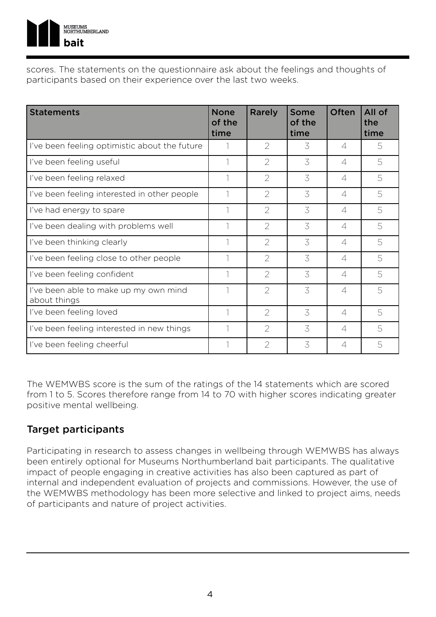

scores. The statements on the questionnaire ask about the feelings and thoughts of participants based on their experience over the last two weeks.

| <b>Statements</b>                                     | <b>None</b><br>of the<br>time | Rarely         | Some<br>of the<br>time | Often                    | All of<br>the<br>time |
|-------------------------------------------------------|-------------------------------|----------------|------------------------|--------------------------|-----------------------|
| I've been feeling optimistic about the future         |                               | $\overline{2}$ | 3                      | 4                        | 5                     |
| I've been feeling useful                              |                               | $\overline{2}$ | 3                      | $\overline{\mathcal{A}}$ | 5                     |
| I've been feeling relaxed                             |                               | $\overline{2}$ | 3                      | $\overline{4}$           | 5                     |
| I've been feeling interested in other people          |                               | $\overline{2}$ | 3                      | $\Delta$                 | 5                     |
| I've had energy to spare                              |                               | $\overline{2}$ | 3                      | $\overline{\mathcal{A}}$ | 5                     |
| I've been dealing with problems well                  |                               | $\overline{2}$ | 3                      | $\Delta$                 | 5                     |
| I've been thinking clearly                            |                               | $\overline{2}$ | 3                      | $\varDelta$              | 5                     |
| I've been feeling close to other people               |                               | $\overline{2}$ | 3                      | $\Delta$                 | 5                     |
| I've been feeling confident                           |                               | $\overline{2}$ | 3                      | $\varDelta$              | 5                     |
| I've been able to make up my own mind<br>about things |                               | $\overline{2}$ | 3                      | 4                        | 5                     |
| I've been feeling loved                               |                               | $\overline{2}$ | 3                      | $\overline{\mathcal{A}}$ | 5                     |
| I've been feeling interested in new things            |                               | $\overline{2}$ | 3                      | $\Delta$                 | 5                     |
| I've been feeling cheerful                            |                               | $\overline{2}$ | 3                      | $\overline{4}$           | 5                     |

The WEMWBS score is the sum of the ratings of the 14 statements which are scored from 1 to 5. Scores therefore range from 14 to 70 with higher scores indicating greater positive mental wellbeing.

### Target participants

Participating in research to assess changes in wellbeing through WEMWBS has always been entirely optional for Museums Northumberland bait participants. The qualitative impact of people engaging in creative activities has also been captured as part of internal and independent evaluation of projects and commissions. However, the use of the WEMWBS methodology has been more selective and linked to project aims, needs of participants and nature of project activities.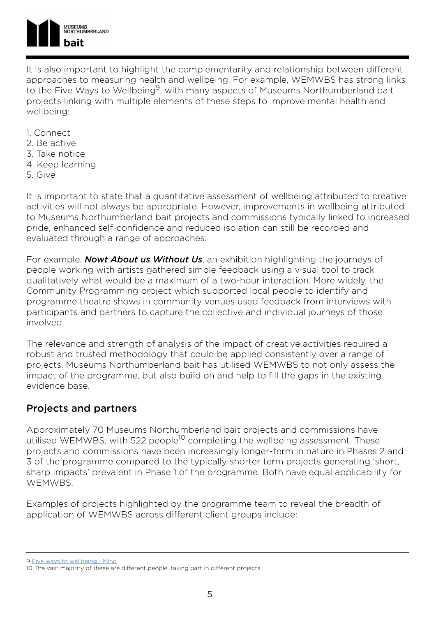

It is also important to highlight the complementarity and relationship between different approaches to measuring health and wellbeing. For example, WEMWBS has strong links to the Five Ways to Wellbeing<sup>9</sup>, with many aspects of Museums Northumberland bait projects linking with multiple elements of these steps to improve mental health and wellbeing:

- 1. Connect
- 2. Be active
- 3. Take notice
- 4. Keep learning
- 5. Give

It is important to state that a quantitative assessment of wellbeing attributed to creative activities will not always be appropriate. However, improvements in wellbeing attributed to Museums Northumberland bait projects and commissions typically linked to increased pride, enhanced self-confidence and reduced isolation can still be recorded and evaluated through a range of approaches.

For example, *Nowt About us Without Us*, an exhibition highlighting the journeys of people working with artists gathered simple feedback using a visual tool to track qualitatively what would be a maximum of a two-hour interaction. More widely, the Community Programming project which supported local people to identify and programme theatre shows in community venues used feedback from interviews with participants and partners to capture the collective and individual journeys of those involved.

The relevance and strength of analysis of the impact of creative activities required a robust and trusted methodology that could be applied consistently over a range of projects. Museums Northumberland bait has utilised WEMWBS to not only assess the impact of the programme, but also build on and help to fill the gaps in the existing evidence base.

### Projects and partners

Approximately 70 Museums Northumberland bait projects and commissions have utilised WEMWBS, with 522 people<sup>10</sup> completing the wellbeing assessment. These projects and commissions have been increasingly longer-term in nature in Phases 2 and 3 of the programme compared to the typically shorter term projects generating 'short, sharp impacts' prevalent in Phase 1 of the programme. Both have equal applicability for WEMWBS.

Examples of projects highlighted by the programme team to reveal the breadth of application of WEMWBS across different client groups include:

<sup>9</sup> [Five ways to wellbeing - Mind](https://www.mind.org.uk/workplace/mental-health-at-work/taking-care-of-yourself/five-ways-to-wellbeing/)

<sup>10</sup> The vast majority of these are different people, taking part in different projects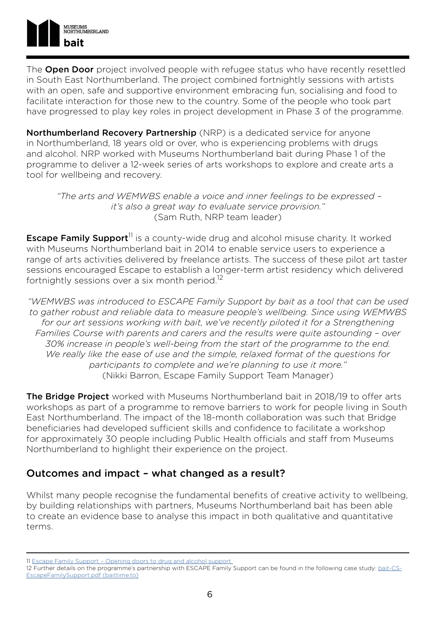

The **Open Door** project involved people with refugee status who have recently resettled in South East Northumberland. The project combined fortnightly sessions with artists with an open, safe and supportive environment embracing fun, socialising and food to facilitate interaction for those new to the country. Some of the people who took part have progressed to play key roles in project development in Phase 3 of the programme.

Northumberland Recovery Partnership (NRP) is a dedicated service for anyone in Northumberland, 18 years old or over, who is experiencing problems with drugs and alcohol. NRP worked with Museums Northumberland bait during Phase 1 of the programme to deliver a 12-week series of arts workshops to explore and create arts a tool for wellbeing and recovery.

 *"The arts and WEMWBS enable a voice and inner feelings to be expressed – it's also a great way to evaluate service provision."*  (Sam Ruth, NRP team leader)

**Escape Family Support**<sup>11</sup> is a county-wide drug and alcohol misuse charity. It worked with Museums Northumberland bait in 2014 to enable service users to experience a range of arts activities delivered by freelance artists. The success of these pilot art taster sessions encouraged Escape to establish a longer-term artist residency which delivered fortnightly sessions over a six month period.<sup>12</sup>

*"WEMWBS was introduced to ESCAPE Family Support by bait as a tool that can be used to gather robust and reliable data to measure people's wellbeing. Since using WEMWBS*  for our art sessions working with bait, we've recently piloted it for a Strengthening *Families Course with parents and carers and the results were quite astounding – over 30% increase in people's well-being from the start of the programme to the end. We really like the ease of use and the simple, relaxed format of the questions for participants to complete and we're planning to use it more."*  (Nikki Barron, Escape Family Support Team Manager)

The Bridge Project worked with Museums Northumberland bait in 2018/19 to offer arts workshops as part of a programme to remove barriers to work for people living in South East Northumberland. The impact of the 18-month collaboration was such that Bridge beneficiaries had developed sufficient skills and confidence to facilitate a workshop for approximately 30 people including Public Health officials and staff from Museums Northumberland to highlight their experience on the project.

### Outcomes and impact – what changed as a result?

Whilst many people recognise the fundamental benefits of creative activity to wellbeing, by building relationships with partners, Museums Northumberland bait has been able to create an evidence base to analyse this impact in both qualitative and quantitative terms.

<sup>11</sup> [Escape Family Support – Opening doors to drug and alcohol support](https://escapefamilysupport.org.uk/) 

<sup>12</sup> Further details on the programme's partnership with ESCAPE Family Support can be found in the following case study: [bait-CS-](http://baittime.to/assets/Case%20Studies/bait-CS-EscapeFamilySupport.pdf)[EscapeFamilySupport.pdf \(baittime.to\)](http://baittime.to/assets/Case%20Studies/bait-CS-EscapeFamilySupport.pdf)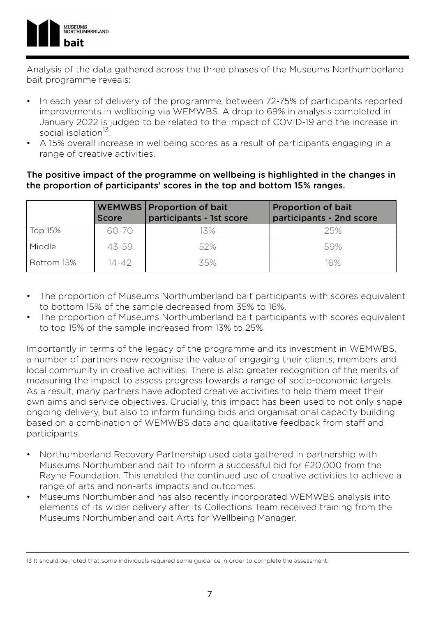

Analysis of the data gathered across the three phases of the Museums Northumberland bait programme reveals:

- In each year of delivery of the programme, between 72-75% of participants reported improvements in wellbeing via WEMWBS. A drop to 69% in analysis completed in January 2022 is judged to be related to the impact of COVID-19 and the increase in social isolation<sup>13</sup>.
- A 15% overall increase in wellbeing scores as a result of participants engaging in a range of creative activities.

#### The positive impact of the programme on wellbeing is highlighted in the changes in the proportion of participants' scores in the top and bottom 15% ranges.

|            | <b>Score</b> | <b>WEMWBS</b> Proportion of bait<br>participants - 1st score | <b>Proportion of bait</b><br>participants - 2nd score |
|------------|--------------|--------------------------------------------------------------|-------------------------------------------------------|
| Top 15%    | 60-70        | 13%                                                          | 25%                                                   |
| Middle     | 43-59        | 52%                                                          | 59%                                                   |
| Bottom 15% | 14-42        | 35%                                                          | 16%                                                   |

- The proportion of Museums Northumberland bait participants with scores equivalent to bottom 15% of the sample decreased from 35% to 16%.
- The proportion of Museums Northumberland bait participants with scores equivalent to top 15% of the sample increased from 13% to 25%.

Importantly in terms of the legacy of the programme and its investment in WEMWBS, a number of partners now recognise the value of engaging their clients, members and local community in creative activities. There is also greater recognition of the merits of measuring the impact to assess progress towards a range of socio-economic targets. As a result, many partners have adopted creative activities to help them meet their own aims and service objectives. Crucially, this impact has been used to not only shape ongoing delivery, but also to inform funding bids and organisational capacity building based on a combination of WEMWBS data and qualitative feedback from staff and participants.

- Northumberland Recovery Partnership used data gathered in partnership with Museums Northumberland bait to inform a successful bid for £20,000 from the Rayne Foundation. This enabled the continued use of creative activities to achieve a range of arts and non-arts impacts and outcomes.
- Museums Northumberland has also recently incorporated WEMWBS analysis into elements of its wider delivery after its Collections Team received training from the Museums Northumberland bait Arts for Wellbeing Manager.

<sup>13</sup> It should be noted that some individuals required some guidance in order to complete the assessment.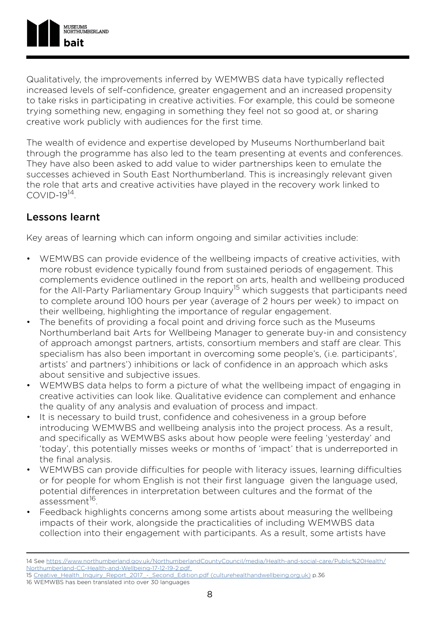

Qualitatively, the improvements inferred by WEMWBS data have typically reflected increased levels of self-confidence, greater engagement and an increased propensity to take risks in participating in creative activities. For example, this could be someone trying something new, engaging in something they feel not so good at, or sharing creative work publicly with audiences for the first time.

The wealth of evidence and expertise developed by Museums Northumberland bait through the programme has also led to the team presenting at events and conferences. They have also been asked to add value to wider partnerships keen to emulate the successes achieved in South East Northumberland. This is increasingly relevant given the role that arts and creative activities have played in the recovery work linked to  $COMID-19<sup>14</sup>$ 

### Lessons learnt

Key areas of learning which can inform ongoing and similar activities include:

- WEMWBS can provide evidence of the wellbeing impacts of creative activities, with more robust evidence typically found from sustained periods of engagement. This complements evidence outlined in the report on arts, health and wellbeing produced for the All-Party Parliamentary Group Inquiry<sup>15</sup> which suggests that participants need to complete around 100 hours per year (average of 2 hours per week) to impact on their wellbeing, highlighting the importance of regular engagement.
- The benefits of providing a focal point and driving force such as the Museums Northumberland bait Arts for Wellbeing Manager to generate buy-in and consistency of approach amongst partners, artists, consortium members and staff are clear. This specialism has also been important in overcoming some people's, (i.e. participants', artists' and partners') inhibitions or lack of confidence in an approach which asks about sensitive and subjective issues.
- WEMWBS data helps to form a picture of what the wellbeing impact of engaging in creative activities can look like. Qualitative evidence can complement and enhance the quality of any analysis and evaluation of process and impact.
- It is necessary to build trust, confidence and cohesiveness in a group before introducing WEMWBS and wellbeing analysis into the project process. As a result, and specifically as WEMWBS asks about how people were feeling 'yesterday' and 'today', this potentially misses weeks or months of 'impact' that is underreported in the final analysis.
- WEMWBS can provide difficulties for people with literacy issues, learning difficulties or for people for whom English is not their first language given the language used, potential differences in interpretation between cultures and the format of the assessment<sup>16</sup>
- Feedback highlights concerns among some artists about measuring the wellbeing impacts of their work, alongside the practicalities of including WEMWBS data collection into their engagement with participants. As a result, some artists have

<sup>14</sup> See [https://www.northumberland.gov.uk/NorthumberlandCountyCouncil/media/Health-and-social-care/Public%20Health/](https://www.northumberland.gov.uk/NorthumberlandCountyCouncil/media/Health-and-social-care/Public%20Health/Northumberland-CC-Health-and-Wellbeing-17-12-19-2.pdf) [Northumberland-CC-Health-and-Wellbeing-17-12-19-2.pdf](https://www.northumberland.gov.uk/NorthumberlandCountyCouncil/media/Health-and-social-care/Public%20Health/Northumberland-CC-Health-and-Wellbeing-17-12-19-2.pdf) 

<sup>15</sup> [Creative\\_Health\\_Inquiry\\_Report\\_2017\\_-\\_Second\\_Edition.pdf \(culturehealthandwellbeing.org.uk\)](https://www.culturehealthandwellbeing.org.uk/appg-inquiry/Publications/Creative_Health_Inquiry_Report_2017_-_Second_Edition.pdf) p.36

<sup>16</sup> WEMWBS has been translated into over 30 languages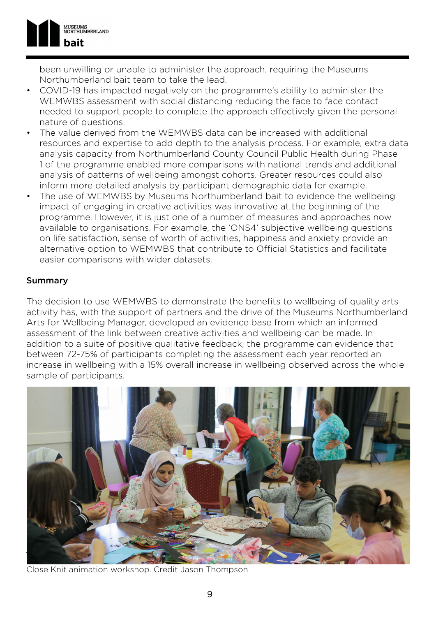

been unwilling or unable to administer the approach, requiring the Museums Northumberland bait team to take the lead.

- COVID-19 has impacted negatively on the programme's ability to administer the WEMWBS assessment with social distancing reducing the face to face contact needed to support people to complete the approach effectively given the personal nature of questions.
- The value derived from the WEMWBS data can be increased with additional resources and expertise to add depth to the analysis process. For example, extra data analysis capacity from Northumberland County Council Public Health during Phase 1 of the programme enabled more comparisons with national trends and additional analysis of patterns of wellbeing amongst cohorts. Greater resources could also inform more detailed analysis by participant demographic data for example.
- The use of WEMWBS by Museums Northumberland bait to evidence the wellbeing impact of engaging in creative activities was innovative at the beginning of the programme. However, it is just one of a number of measures and approaches now available to organisations. For example, the 'ONS4' subjective wellbeing questions on life satisfaction, sense of worth of activities, happiness and anxiety provide an alternative option to WEMWBS that contribute to Official Statistics and facilitate easier comparisons with wider datasets.

#### Summary

The decision to use WEMWBS to demonstrate the benefits to wellbeing of quality arts activity has, with the support of partners and the drive of the Museums Northumberland Arts for Wellbeing Manager, developed an evidence base from which an informed assessment of the link between creative activities and wellbeing can be made. In addition to a suite of positive qualitative feedback, the programme can evidence that between 72-75% of participants completing the assessment each year reported an increase in wellbeing with a 15% overall increase in wellbeing observed across the whole sample of participants.



Close Knit animation workshop. Credit Jason Thompson